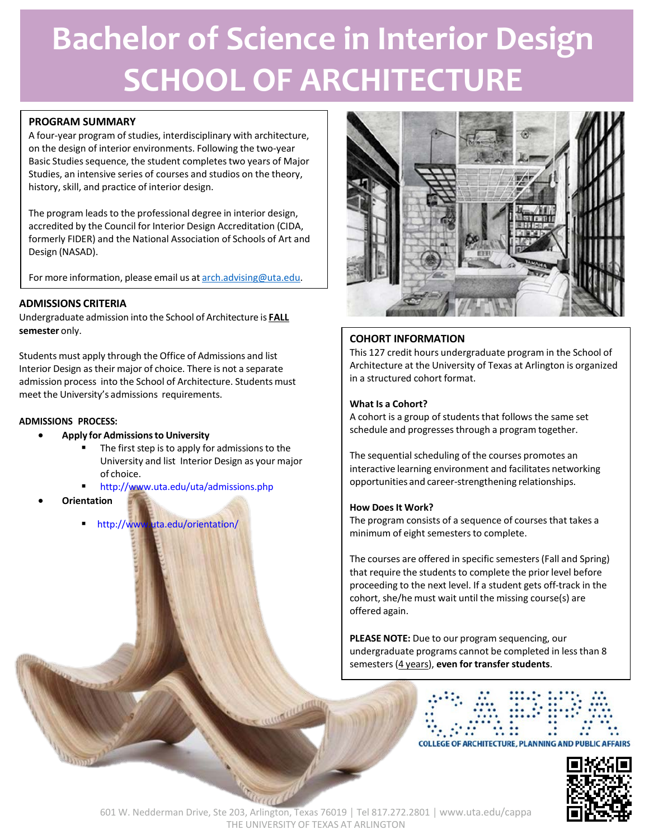# **Bachelor of Science in Interior Design SCHOOL OF ARCHITECTURE**

# **PROGRAM SUMMARY**

A four-year program of studies, interdisciplinary with architecture, on the design of interior environments. Following the two-year Basic Studies sequence, the student completes two years of Major Studies, an intensive series of courses and studios on the theory, history, skill, and practice of interior design.

The program leads to the professional degree in interior design, accredited by the Council for Interior Design Accreditation (CIDA, formerly FIDER) and the National Association of Schools of Art and Design (NASAD).

For more information, please email us at [arch.advising@uta.edu.](mailto:arch.advising@uta.edu)

# **ADMISSIONS CRITERIA**

Undergraduate admission into the School of Architecture is **FALL semester** only.

Students must apply through the Office of Admissions and list Interior Design astheir major of choice. There is not a separate admission process into the School of Architecture. Students must meet the University's admissions requirements.

## **ADMISSIONS PROCESS:**

- **Apply for Admissionsto University**
	- The first step is to apply for admissions to the University and list Interior Design as your major of choice.
	- <http://www.uta.edu/uta/admissions.php>
- **Orientation**
	- <http://www.uta.edu/orientation/>



# **COHORT INFORMATION**

This 127 credit hours undergraduate program in the School of Architecture at the University of Texas at Arlington is organized in a structured cohort format.

## **What Is a Cohort?**

A cohort is a group of students that follows the same set schedule and progresses through a program together.

The sequential scheduling of the courses promotes an interactive learning environment and facilitates networking opportunities and career-strengthening relationships.

## **How DoesIt Work?**

The program consists of a sequence of courses that takes a minimum of eight semesters to complete.

The courses are offered in specific semesters(Fall and Spring) that require the students to complete the prior level before proceeding to the next level. If a student gets off-track in the cohort, she/he must wait until the missing course(s) are offered again.

**PLEASE NOTE:** Due to our program sequencing, our undergraduate programs cannot be completed in lessthan 8 semesters(4 years), **even for transfer students**.